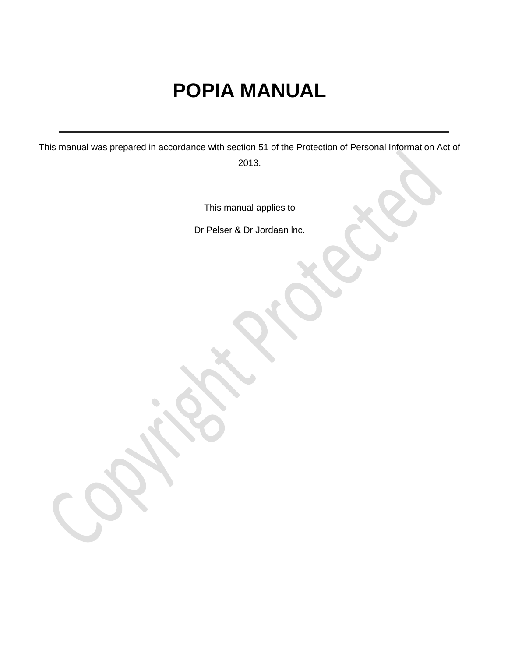# **POPIA MANUAL**

This manual was prepared in accordance with section 51 of the Protection of Personal Information Act of 2013.

This manual applies to

Dr Pelser & Dr Jordaan lnc.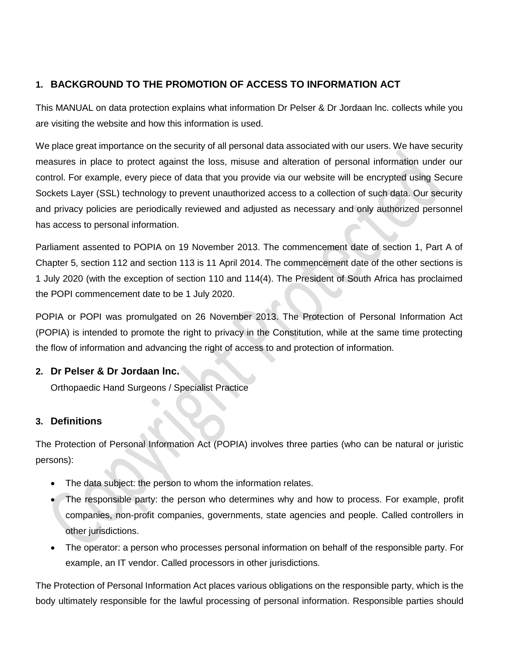## **1. BACKGROUND TO THE PROMOTION OF ACCESS TO INFORMATION ACT**

This MANUAL on data protection explains what information Dr Pelser & Dr Jordaan lnc. collects while you are visiting the website and how this information is used.

We place great importance on the security of all personal data associated with our users. We have security measures in place to protect against the loss, misuse and alteration of personal information under our control. For example, every piece of data that you provide via our website will be encrypted using Secure Sockets Layer (SSL) technology to prevent unauthorized access to a collection of such data. Our security and privacy policies are periodically reviewed and adjusted as necessary and only authorized personnel has access to personal information.

Parliament assented to POPIA on 19 November 2013. The commencement date of section 1, Part A of Chapter 5, section 112 and section 113 is 11 April 2014. The commencement date of the other sections is 1 July 2020 (with the exception of section 110 and 114(4). The President of South Africa has proclaimed the POPI commencement date to be 1 July 2020.

POPIA or POPI was promulgated on 26 November 2013. The Protection of Personal Information Act (POPIA) is intended to promote the right to privacy in the Constitution, while at the same time protecting the flow of information and advancing the right of access to and protection of information.

## **2. Dr Pelser & Dr Jordaan lnc.**

Orthopaedic Hand Surgeons / Specialist Practice

## **3. Definitions**

The Protection of Personal Information Act (POPIA) involves three parties (who can be natural or juristic persons):

- The data subject: the person to whom the information relates.
- The responsible party: the person who determines why and how to process. For example, profit companies, non-profit companies, governments, state agencies and people. Called controllers in other jurisdictions.
- The operator: a person who processes personal information on behalf of the responsible party. For example, an IT vendor. Called processors in other jurisdictions.

The Protection of Personal Information Act places various obligations on the responsible party, which is the body ultimately responsible for the lawful processing of personal information. Responsible parties should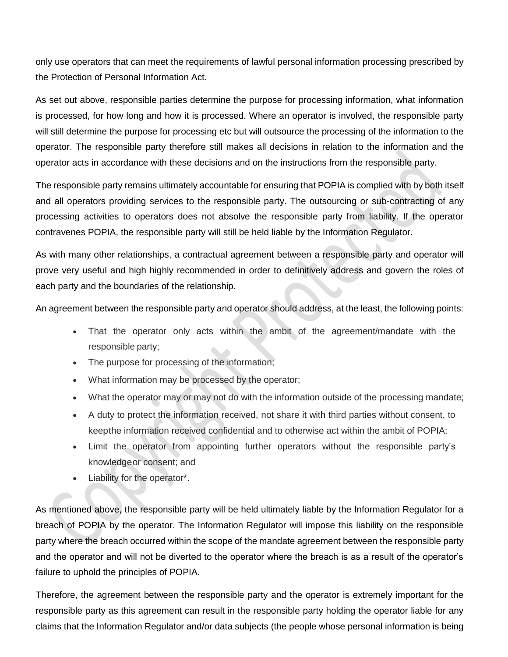only use operators that can meet the requirements of lawful personal information processing prescribed by the Protection of Personal Information Act.

As set out above, responsible parties determine the purpose for processing information, what information is processed, for how long and how it is processed. Where an operator is involved, the responsible party will still determine the purpose for processing etc but will outsource the processing of the information to the operator. The responsible party therefore still makes all decisions in relation to the information and the operator acts in accordance with these decisions and on the instructions from the responsible party.

The responsible party remains ultimately accountable for ensuring that POPIA is complied with by both itself and all operators providing services to the responsible party. The outsourcing or sub-contracting of any processing activities to operators does not absolve the responsible party from liability. If the operator contravenes POPIA, the responsible party will still be held liable by the Information Regulator.

As with many other relationships, a contractual agreement between a responsible party and operator will prove very useful and high highly recommended in order to definitively address and govern the roles of each party and the boundaries of the relationship.

An agreement between the responsible party and operator should address, at the least, the following points:

- That the operator only acts within the ambit of the agreement/mandate with the responsible party;
- The purpose for processing of the information;
- What information may be processed by the operator;
- What the operator may or may not do with the information outside of the processing mandate;
- A duty to protect the information received, not share it with third parties without consent, to keepthe information received confidential and to otherwise act within the ambit of POPIA;
- Limit the operator from appointing further operators without the responsible party's knowledgeor consent; and
- Liability for the operator\*.

As mentioned above, the responsible party will be held ultimately liable by the Information Regulator for a breach of POPIA by the operator. The Information Regulator will impose this liability on the responsible party where the breach occurred within the scope of the mandate agreement between the responsible party and the operator and will not be diverted to the operator where the breach is as a result of the operator's failure to uphold the principles of POPIA.

Therefore, the agreement between the responsible party and the operator is extremely important for the responsible party as this agreement can result in the responsible party holding the operator liable for any claims that the Information Regulator and/or data subjects (the people whose personal information is being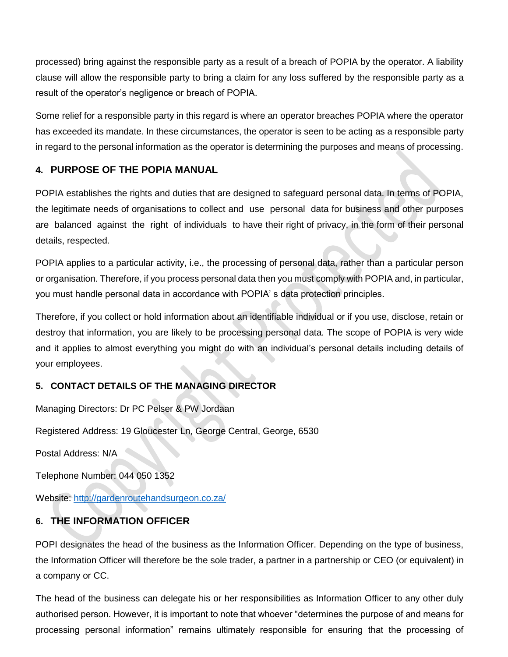processed) bring against the responsible party as a result of a breach of POPIA by the operator. A liability clause will allow the responsible party to bring a claim for any loss suffered by the responsible party as a result of the operator's negligence or breach of POPIA.

Some relief for a responsible party in this regard is where an operator breaches POPIA where the operator has exceeded its mandate. In these circumstances, the operator is seen to be acting as a responsible party in regard to the personal information as the operator is determining the purposes and means of processing.

## **4. PURPOSE OF THE POPIA MANUAL**

POPIA establishes the rights and duties that are designed to safeguard personal data. In terms of POPIA, the legitimate needs of organisations to collect and use personal data for business and other purposes are balanced against the right of individuals to have their right of privacy, in the form of their personal details, respected.

POPIA applies to a particular activity, i.e., the processing of personal data, rather than a particular person or organisation. Therefore, if you process personal data then you must comply with POPIA and, in particular, you must handle personal data in accordance with POPIA' s data protection principles.

Therefore, if you collect or hold information about an identifiable individual or if you use, disclose, retain or destroy that information, you are likely to be processing personal data. The scope of POPIA is very wide and it applies to almost everything you might do with an individual's personal details including details of your employees.

## **5. CONTACT DETAILS OF THE MANAGING DIRECTOR**

Managing Directors: Dr PC Pelser & PW Jordaan

Registered Address: 19 Gloucester Ln, George Central, George, 6530

Postal Address: N/A

Telephone Number: 044 050 1352

Website: <http://gardenroutehandsurgeon.co.za/>

## **6. THE INFORMATION OFFICER**

POPI designates the head of the business as the Information Officer. Depending on the type of business, the Information Officer will therefore be the sole trader, a partner in a partnership or CEO (or equivalent) in a company or CC.

The head of the business can delegate his or her responsibilities as Information Officer to any other duly authorised person. However, it is important to note that whoever "determines the purpose of and means for processing personal information" remains ultimately responsible for ensuring that the processing of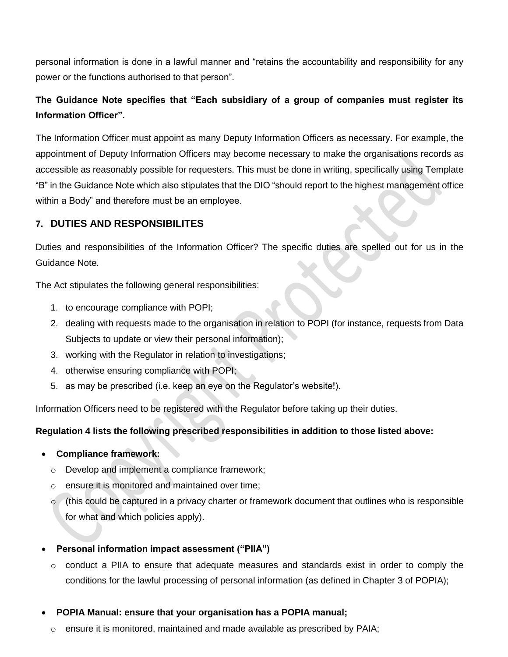personal information is done in a lawful manner and "retains the accountability and responsibility for any power or the functions authorised to that person".

# **The Guidance Note specifies that "Each subsidiary of a group of companies must register its Information Officer".**

The Information Officer must appoint as many Deputy Information Officers as necessary. For example, the appointment of Deputy Information Officers may become necessary to make the organisations records as accessible as reasonably possible for requesters. This must be done in writing, specifically using Template "B" in the Guidance Note which also stipulates that the DIO "should report to the highest management office within a Body" and therefore must be an employee.

## **7. DUTIES AND RESPONSIBILITES**

Duties and responsibilities of the Information Officer? The specific duties are spelled out for us in the Guidance Note.

The Act stipulates the following general responsibilities:

- 1. to encourage compliance with POPI;
- 2. dealing with requests made to the organisation in relation to POPI (for instance, requests from Data Subjects to update or view their personal information);
- 3. working with the Regulator in relation to investigations;
- 4. otherwise ensuring compliance with POPI;
- 5. as may be prescribed (i.e. keep an eye on the Regulator's website!).

Information Officers need to be registered with the Regulator before taking up their duties.

## **Regulation 4 lists the following prescribed responsibilities in addition to those listed above:**

- **Compliance framework:**
	- o Develop and implement a compliance framework;
	- o ensure it is monitored and maintained over time;
	- $\circ$  (this could be captured in a privacy charter or framework document that outlines who is responsible for what and which policies apply).

## **Personal information impact assessment ("PIIA")**

- $\circ$  conduct a PIIA to ensure that adequate measures and standards exist in order to comply the conditions for the lawful processing of personal information (as defined in Chapter 3 of POPIA);
- **POPIA Manual: ensure that your organisation has a POPIA manual;**
	- $\circ$  ensure it is monitored, maintained and made available as prescribed by PAIA;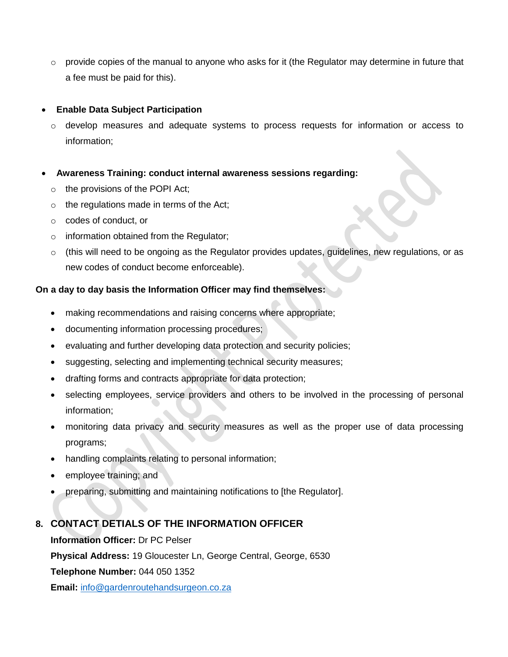$\circ$  provide copies of the manual to anyone who asks for it (the Regulator may determine in future that a fee must be paid for this).

#### **Enable Data Subject Participation**

- $\circ$  develop measures and adequate systems to process requests for information or access to information;
- **Awareness Training: conduct internal awareness sessions regarding:**
	- $\circ$  the provisions of the POPI Act;
	- o the regulations made in terms of the Act;
	- o codes of conduct, or
	- o information obtained from the Regulator;
	- $\circ$  (this will need to be ongoing as the Regulator provides updates, guidelines, new regulations, or as new codes of conduct become enforceable).

#### **On a day to day basis the Information Officer may find themselves:**

- making recommendations and raising concerns where appropriate;
- documenting information processing procedures;
- evaluating and further developing data protection and security policies;
- suggesting, selecting and implementing technical security measures;
- drafting forms and contracts appropriate for data protection;
- selecting employees, service providers and others to be involved in the processing of personal information;
- monitoring data privacy and security measures as well as the proper use of data processing programs;
- handling complaints relating to personal information;
- employee training; and
- preparing, submitting and maintaining notifications to [the Regulator].

## **8. CONTACT DETIALS OF THE INFORMATION OFFICER**

**Information Officer:** Dr PC Pelser

**Physical Address:** 19 Gloucester Ln, George Central, George, 6530

**Telephone Number:** 044 050 1352

**Email:** [info@gardenroutehandsurgeon.co.za](mailto:info@gardenroutehandsurgeon.co.za)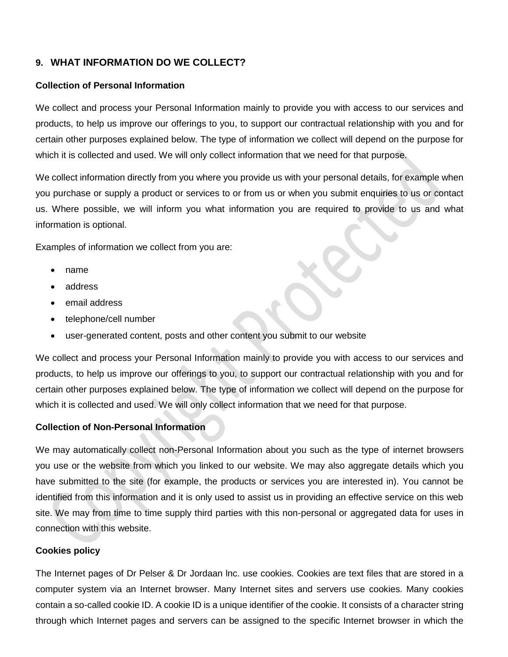## **9. WHAT INFORMATION DO WE COLLECT?**

#### **Collection of Personal Information**

We collect and process your Personal Information mainly to provide you with access to our services and products, to help us improve our offerings to you, to support our contractual relationship with you and for certain other purposes explained below. The type of information we collect will depend on the purpose for which it is collected and used. We will only collect information that we need for that purpose.

We collect information directly from you where you provide us with your personal details, for example when you purchase or supply a product or services to or from us or when you submit enquiries to us or contact us. Where possible, we will inform you what information you are required to provide to us and what information is optional.

Examples of information we collect from you are:

- name
- address
- email address
- telephone/cell number
- user-generated content, posts and other content you submit to our website

We collect and process your Personal Information mainly to provide you with access to our services and products, to help us improve our offerings to you, to support our contractual relationship with you and for certain other purposes explained below. The type of information we collect will depend on the purpose for which it is collected and used. We will only collect information that we need for that purpose.

#### **Collection of Non-Personal Information**

We may automatically collect non-Personal Information about you such as the type of internet browsers you use or the website from which you linked to our website. We may also aggregate details which you have submitted to the site (for example, the products or services you are interested in). You cannot be identified from this information and it is only used to assist us in providing an effective service on this web site. We may from time to time supply third parties with this non-personal or aggregated data for uses in connection with this website.

#### **Cookies policy**

The Internet pages of Dr Pelser & Dr Jordaan lnc. use cookies. Cookies are text files that are stored in a computer system via an Internet browser. Many Internet sites and servers use cookies. Many cookies contain a so-called cookie ID. A cookie ID is a unique identifier of the cookie. It consists of a character string through which Internet pages and servers can be assigned to the specific Internet browser in which the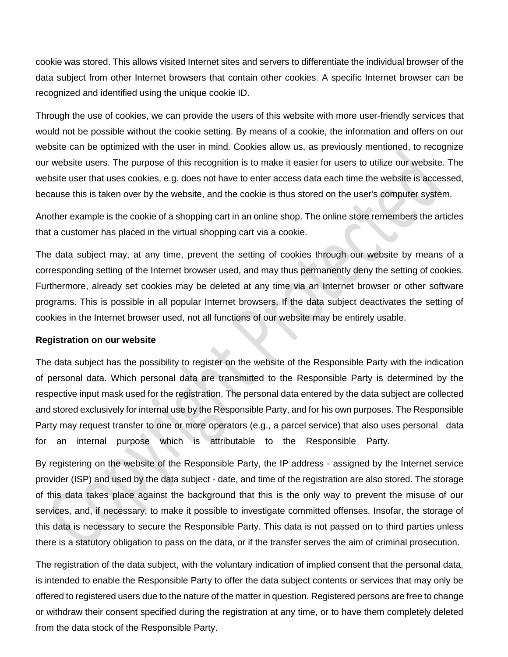cookie was stored. This allows visited Internet sites and servers to differentiate the individual browser of the data subject from other Internet browsers that contain other cookies. A specific Internet browser can be recognized and identified using the unique cookie ID.

Through the use of cookies, we can provide the users of this website with more user-friendly services that would not be possible without the cookie setting. By means of a cookie, the information and offers on our website can be optimized with the user in mind. Cookies allow us, as previously mentioned, to recognize our website users. The purpose of this recognition is to make it easier for users to utilize our website. The website user that uses cookies, e.g. does not have to enter access data each time the website is accessed, because this is taken over by the website, and the cookie is thus stored on the user's computer system.

Another example is the cookie of a shopping cart in an online shop. The online store remembers the articles that a customer has placed in the virtual shopping cart via a cookie.

The data subject may, at any time, prevent the setting of cookies through our website by means of a corresponding setting of the Internet browser used, and may thus permanently deny the setting of cookies. Furthermore, already set cookies may be deleted at any time via an Internet browser or other software programs. This is possible in all popular Internet browsers. If the data subject deactivates the setting of cookies in the Internet browser used, not all functions of our website may be entirely usable.

#### **Registration on our website**

The data subject has the possibility to register on the website of the Responsible Party with the indication of personal data. Which personal data are transmitted to the Responsible Party is determined by the respective input mask used for the registration. The personal data entered by the data subject are collected and stored exclusively for internal use by the Responsible Party, and for his own purposes. The Responsible Party may request transfer to one or more operators (e.g., a parcel service) that also uses personal data for an internal purpose which is attributable to the Responsible Party.

By registering on the website of the Responsible Party, the IP address - assigned by the Internet service provider (ISP) and used by the data subject - date, and time of the registration are also stored. The storage of this data takes place against the background that this is the only way to prevent the misuse of our services, and, if necessary, to make it possible to investigate committed offenses. Insofar, the storage of this data is necessary to secure the Responsible Party. This data is not passed on to third parties unless there is a statutory obligation to pass on the data, or if the transfer serves the aim of criminal prosecution.

The registration of the data subject, with the voluntary indication of implied consent that the personal data, is intended to enable the Responsible Party to offer the data subject contents or services that may only be offered to registered users due to the nature of the matter in question. Registered persons are free to change or withdraw their consent specified during the registration at any time, or to have them completely deleted from the data stock of the Responsible Party.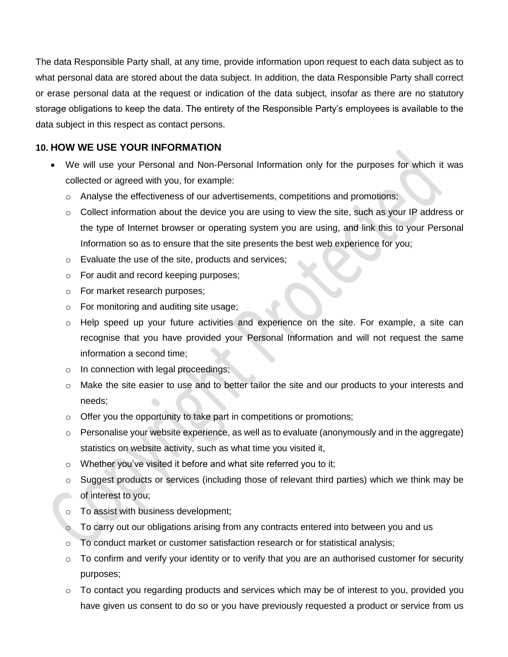The data Responsible Party shall, at any time, provide information upon request to each data subject as to what personal data are stored about the data subject. In addition, the data Responsible Party shall correct or erase personal data at the request or indication of the data subject, insofar as there are no statutory storage obligations to keep the data. The entirety of the Responsible Party's employees is available to the data subject in this respect as contact persons.

## **10. HOW WE USE YOUR INFORMATION**

- We will use your Personal and Non-Personal Information only for the purposes for which it was collected or agreed with you, for example:
	- $\circ$  Analyse the effectiveness of our advertisements, competitions and promotions;
	- $\circ$  Collect information about the device you are using to view the site, such as your IP address or the type of Internet browser or operating system you are using, and link this to your Personal Information so as to ensure that the site presents the best web experience for you;
	- o Evaluate the use of the site, products and services;
	- o For audit and record keeping purposes;
	- o For market research purposes;
	- o For monitoring and auditing site usage;
	- $\circ$  Help speed up your future activities and experience on the site. For example, a site can recognise that you have provided your Personal Information and will not request the same information a second time;
	- o In connection with legal proceedings;
	- o Make the site easier to use and to better tailor the site and our products to your interests and needs;
	- o Offer you the opportunity to take part in competitions or promotions;
	- $\circ$  Personalise your website experience, as well as to evaluate (anonymously and in the aggregate) statistics on website activity, such as what time you visited it,
	- $\circ$  Whether you've visited it before and what site referred you to it;
	- $\circ$  Suggest products or services (including those of relevant third parties) which we think may be of interest to you;
	- o To assist with business development;
	- To carry out our obligations arising from any contracts entered into between you and us
	- o To conduct market or customer satisfaction research or for statistical analysis;
	- $\circ$  To confirm and verify your identity or to verify that you are an authorised customer for security purposes;
	- o To contact you regarding products and services which may be of interest to you, provided you have given us consent to do so or you have previously requested a product or service from us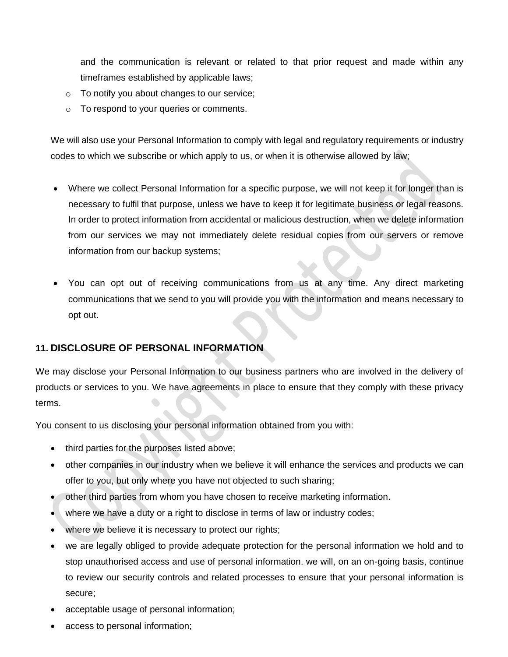and the communication is relevant or related to that prior request and made within any timeframes established by applicable laws;

- o To notify you about changes to our service;
- o To respond to your queries or comments.

We will also use your Personal Information to comply with legal and regulatory requirements or industry codes to which we subscribe or which apply to us, or when it is otherwise allowed by law;

- Where we collect Personal Information for a specific purpose, we will not keep it for longer than is necessary to fulfil that purpose, unless we have to keep it for legitimate business or legal reasons. In order to protect information from accidental or malicious destruction, when we delete information from our services we may not immediately delete residual copies from our servers or remove information from our backup systems;
- You can opt out of receiving communications from us at any time. Any direct marketing communications that we send to you will provide you with the information and means necessary to opt out.

## **11. DISCLOSURE OF PERSONAL INFORMATION**

We may disclose your Personal Information to our business partners who are involved in the delivery of products or services to you. We have agreements in place to ensure that they comply with these privacy terms.

You consent to us disclosing your personal information obtained from you with:

- third parties for the purposes listed above;
- other companies in our industry when we believe it will enhance the services and products we can offer to you, but only where you have not objected to such sharing;
- other third parties from whom you have chosen to receive marketing information.
- where we have a duty or a right to disclose in terms of law or industry codes;
- where we believe it is necessary to protect our rights;
- we are legally obliged to provide adequate protection for the personal information we hold and to stop unauthorised access and use of personal information. we will, on an on-going basis, continue to review our security controls and related processes to ensure that your personal information is secure;
- acceptable usage of personal information;
- access to personal information;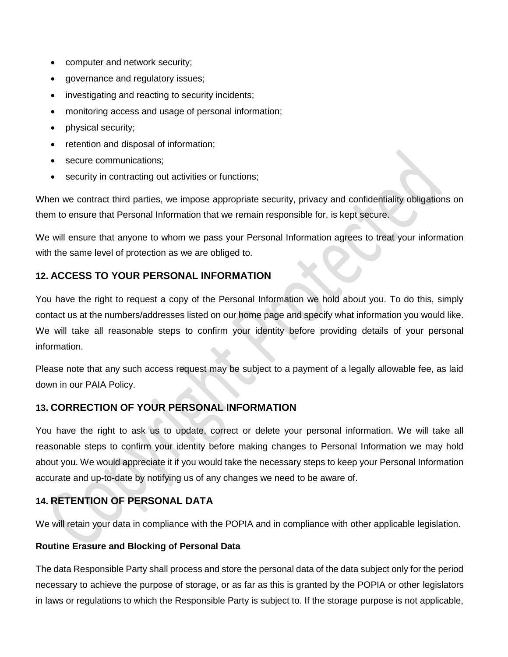- computer and network security;
- governance and regulatory issues;
- investigating and reacting to security incidents;
- monitoring access and usage of personal information;
- physical security;
- retention and disposal of information;
- secure communications;
- security in contracting out activities or functions;

When we contract third parties, we impose appropriate security, privacy and confidentiality obligations on them to ensure that Personal Information that we remain responsible for, is kept secure.

We will ensure that anyone to whom we pass your Personal Information agrees to treat your information with the same level of protection as we are obliged to.

## **12. ACCESS TO YOUR PERSONAL INFORMATION**

You have the right to request a copy of the Personal Information we hold about you. To do this, simply contact us at the numbers/addresses listed on our home page and specify what information you would like. We will take all reasonable steps to confirm your identity before providing details of your personal information.

Please note that any such access request may be subject to a payment of a legally allowable fee, as laid down in our PAIA Policy.

## **13. CORRECTION OF YOUR PERSONAL INFORMATION**

You have the right to ask us to update, correct or delete your personal information. We will take all reasonable steps to confirm your identity before making changes to Personal Information we may hold about you. We would appreciate it if you would take the necessary steps to keep your Personal Information accurate and up-to-date by notifying us of any changes we need to be aware of.

## **14. RETENTION OF PERSONAL DATA**

We will retain your data in compliance with the POPIA and in compliance with other applicable legislation.

## **Routine Erasure and Blocking of Personal Data**

The data Responsible Party shall process and store the personal data of the data subject only for the period necessary to achieve the purpose of storage, or as far as this is granted by the POPIA or other legislators in laws or regulations to which the Responsible Party is subject to. If the storage purpose is not applicable,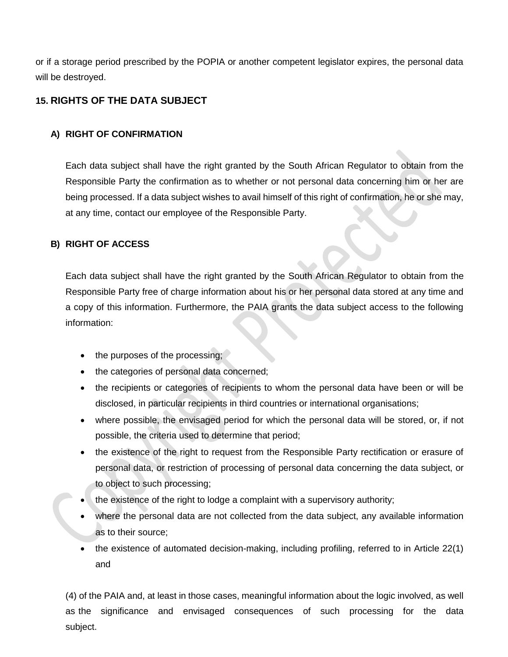or if a storage period prescribed by the POPIA or another competent legislator expires, the personal data will be destroyed.

## **15. RIGHTS OF THE DATA SUBJECT**

#### **A) RIGHT OF CONFIRMATION**

Each data subject shall have the right granted by the South African Regulator to obtain from the Responsible Party the confirmation as to whether or not personal data concerning him or her are being processed. If a data subject wishes to avail himself of this right of confirmation, he or she may, at any time, contact our employee of the Responsible Party.

#### **B) RIGHT OF ACCESS**

Each data subject shall have the right granted by the South African Regulator to obtain from the Responsible Party free of charge information about his or her personal data stored at any time and a copy of this information. Furthermore, the PAIA grants the data subject access to the following information:

- $\bullet$  the purposes of the processing;
- the categories of personal data concerned;
- the recipients or categories of recipients to whom the personal data have been or will be disclosed, in particular recipients in third countries or international organisations;
- where possible, the envisaged period for which the personal data will be stored, or, if not possible, the criteria used to determine that period;
- the existence of the right to request from the Responsible Party rectification or erasure of personal data, or restriction of processing of personal data concerning the data subject, or to object to such processing;
- the existence of the right to lodge a complaint with a supervisory authority;
- where the personal data are not collected from the data subject, any available information as to their source;
- the existence of automated decision-making, including profiling, referred to in Article 22(1) and

(4) of the PAIA and, at least in those cases, meaningful information about the logic involved, as well as the significance and envisaged consequences of such processing for the data subject.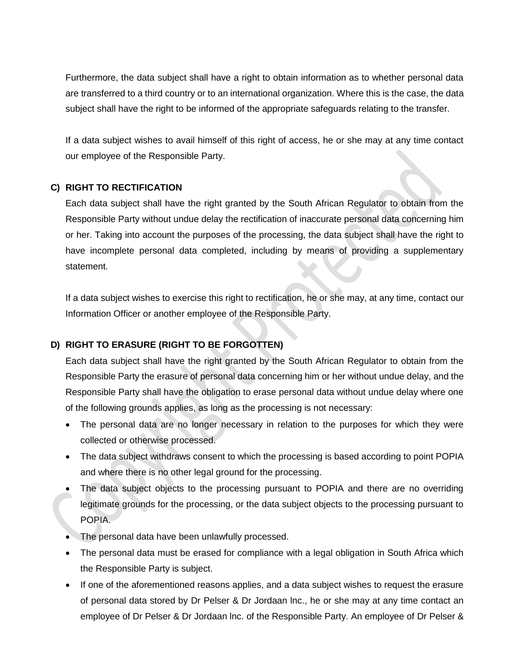Furthermore, the data subject shall have a right to obtain information as to whether personal data are transferred to a third country or to an international organization. Where this is the case, the data subject shall have the right to be informed of the appropriate safeguards relating to the transfer.

If a data subject wishes to avail himself of this right of access, he or she may at any time contact our employee of the Responsible Party.

#### **C) RIGHT TO RECTIFICATION**

Each data subject shall have the right granted by the South African Regulator to obtain from the Responsible Party without undue delay the rectification of inaccurate personal data concerning him or her. Taking into account the purposes of the processing, the data subject shall have the right to have incomplete personal data completed, including by means of providing a supplementary statement.

If a data subject wishes to exercise this right to rectification, he or she may, at any time, contact our Information Officer or another employee of the Responsible Party.

## **D) RIGHT TO ERASURE (RIGHT TO BE FORGOTTEN)**

Each data subject shall have the right granted by the South African Regulator to obtain from the Responsible Party the erasure of personal data concerning him or her without undue delay, and the Responsible Party shall have the obligation to erase personal data without undue delay where one of the following grounds applies, as long as the processing is not necessary:

- The personal data are no longer necessary in relation to the purposes for which they were collected or otherwise processed.
- The data subject withdraws consent to which the processing is based according to point POPIA and where there is no other legal ground for the processing.
- The data subject objects to the processing pursuant to POPIA and there are no overriding legitimate grounds for the processing, or the data subject objects to the processing pursuant to POPIA.
- The personal data have been unlawfully processed.
- The personal data must be erased for compliance with a legal obligation in South Africa which the Responsible Party is subject.
- If one of the aforementioned reasons applies, and a data subject wishes to request the erasure of personal data stored by Dr Pelser & Dr Jordaan lnc., he or she may at any time contact an employee of Dr Pelser & Dr Jordaan lnc. of the Responsible Party. An employee of Dr Pelser &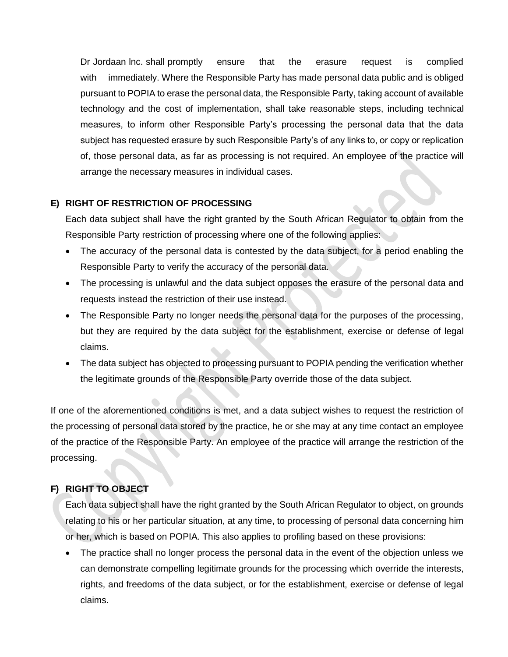Dr Jordaan lnc. shall promptly ensure that the erasure request is complied with immediately. Where the Responsible Party has made personal data public and is obliged pursuant to POPIA to erase the personal data, the Responsible Party, taking account of available technology and the cost of implementation, shall take reasonable steps, including technical measures, to inform other Responsible Party's processing the personal data that the data subject has requested erasure by such Responsible Party's of any links to, or copy or replication of, those personal data, as far as processing is not required. An employee of the practice will arrange the necessary measures in individual cases.

## **E) RIGHT OF RESTRICTION OF PROCESSING**

Each data subject shall have the right granted by the South African Regulator to obtain from the Responsible Party restriction of processing where one of the following applies:

- The accuracy of the personal data is contested by the data subject, for a period enabling the Responsible Party to verify the accuracy of the personal data.
- The processing is unlawful and the data subject opposes the erasure of the personal data and requests instead the restriction of their use instead.
- The Responsible Party no longer needs the personal data for the purposes of the processing, but they are required by the data subject for the establishment, exercise or defense of legal claims.
- The data subject has objected to processing pursuant to POPIA pending the verification whether the legitimate grounds of the Responsible Party override those of the data subject.

If one of the aforementioned conditions is met, and a data subject wishes to request the restriction of the processing of personal data stored by the practice, he or she may at any time contact an employee of the practice of the Responsible Party. An employee of the practice will arrange the restriction of the processing.

## **F) RIGHT TO OBJECT**

Each data subject shall have the right granted by the South African Regulator to object, on grounds relating to his or her particular situation, at any time, to processing of personal data concerning him or her, which is based on POPIA. This also applies to profiling based on these provisions:

• The practice shall no longer process the personal data in the event of the objection unless we can demonstrate compelling legitimate grounds for the processing which override the interests, rights, and freedoms of the data subject, or for the establishment, exercise or defense of legal claims.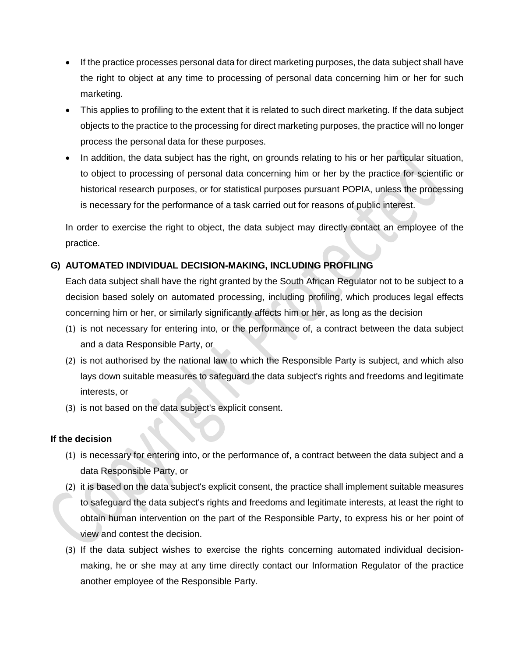- If the practice processes personal data for direct marketing purposes, the data subject shall have the right to object at any time to processing of personal data concerning him or her for such marketing.
- This applies to profiling to the extent that it is related to such direct marketing. If the data subject objects to the practice to the processing for direct marketing purposes, the practice will no longer process the personal data for these purposes.
- In addition, the data subject has the right, on grounds relating to his or her particular situation, to object to processing of personal data concerning him or her by the practice for scientific or historical research purposes, or for statistical purposes pursuant POPIA, unless the processing is necessary for the performance of a task carried out for reasons of public interest.

In order to exercise the right to object, the data subject may directly contact an employee of the practice.

## **G) AUTOMATED INDIVIDUAL DECISION-MAKING, INCLUDING PROFILING**

Each data subject shall have the right granted by the South African Regulator not to be subject to a decision based solely on automated processing, including profiling, which produces legal effects concerning him or her, or similarly significantly affects him or her, as long as the decision

- (1) is not necessary for entering into, or the performance of, a contract between the data subject and a data Responsible Party, or
- (2) is not authorised by the national law to which the Responsible Party is subject, and which also lays down suitable measures to safeguard the data subject's rights and freedoms and legitimate interests, or
- (3) is not based on the data subject's explicit consent.

#### **If the decision**

- (1) is necessary for entering into, or the performance of, a contract between the data subject and a data Responsible Party, or
- (2) it is based on the data subject's explicit consent, the practice shall implement suitable measures to safeguard the data subject's rights and freedoms and legitimate interests, at least the right to obtain human intervention on the part of the Responsible Party, to express his or her point of view and contest the decision.
- (3) If the data subject wishes to exercise the rights concerning automated individual decisionmaking, he or she may at any time directly contact our Information Regulator of the practice another employee of the Responsible Party.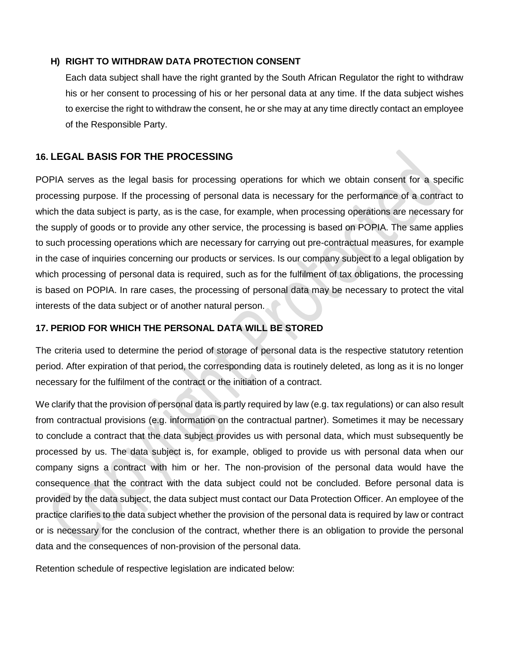#### **H) RIGHT TO WITHDRAW DATA PROTECTION CONSENT**

Each data subject shall have the right granted by the South African Regulator the right to withdraw his or her consent to processing of his or her personal data at any time. If the data subject wishes to exercise the right to withdraw the consent, he or she may at any time directly contact an employee of the Responsible Party.

## **16. LEGAL BASIS FOR THE PROCESSING**

POPIA serves as the legal basis for processing operations for which we obtain consent for a specific processing purpose. If the processing of personal data is necessary for the performance of a contract to which the data subject is party, as is the case, for example, when processing operations are necessary for the supply of goods or to provide any other service, the processing is based on POPIA. The same applies to such processing operations which are necessary for carrying out pre-contractual measures, for example in the case of inquiries concerning our products or services. Is our company subject to a legal obligation by which processing of personal data is required, such as for the fulfilment of tax obligations, the processing is based on POPIA. In rare cases, the processing of personal data may be necessary to protect the vital interests of the data subject or of another natural person.

#### **17. PERIOD FOR WHICH THE PERSONAL DATA WILL BE STORED**

The criteria used to determine the period of storage of personal data is the respective statutory retention period. After expiration of that period, the corresponding data is routinely deleted, as long as it is no longer necessary for the fulfilment of the contract or the initiation of a contract.

We clarify that the provision of personal data is partly required by law (e.g. tax regulations) or can also result from contractual provisions (e.g. information on the contractual partner). Sometimes it may be necessary to conclude a contract that the data subject provides us with personal data, which must subsequently be processed by us. The data subject is, for example, obliged to provide us with personal data when our company signs a contract with him or her. The non-provision of the personal data would have the consequence that the contract with the data subject could not be concluded. Before personal data is provided by the data subject, the data subject must contact our Data Protection Officer. An employee of the practice clarifies to the data subject whether the provision of the personal data is required by law or contract or is necessary for the conclusion of the contract, whether there is an obligation to provide the personal data and the consequences of non-provision of the personal data.

Retention schedule of respective legislation are indicated below: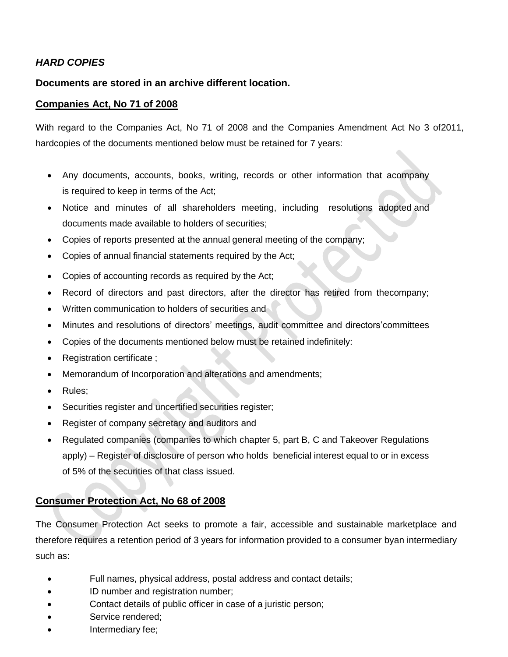## *HARD COPIES*

#### **Documents are stored in an archive different location.**

#### **Companies Act, No 71 of 2008**

With regard to the Companies Act, No 71 of 2008 and the Companies Amendment Act No 3 of2011, hardcopies of the documents mentioned below must be retained for 7 years:

- Any documents, accounts, books, writing, records or other information that acompany is required to keep in terms of the Act;
- Notice and minutes of all shareholders meeting, including resolutions adopted and documents made available to holders of securities;
- Copies of reports presented at the annual general meeting of the company;
- Copies of annual financial statements required by the Act;
- Copies of accounting records as required by the Act;
- Record of directors and past directors, after the director has retired from thecompany;
- Written communication to holders of securities and
- Minutes and resolutions of directors' meetings, audit committee and directors'committees
- Copies of the documents mentioned below must be retained indefinitely:
- Registration certificate;
- Memorandum of Incorporation and alterations and amendments;
- Rules:
- Securities register and uncertified securities register;
- Register of company secretary and auditors and
- Regulated companies (companies to which chapter 5, part B, C and Takeover Regulations apply) – Register of disclosure of person who holds beneficial interest equal to or in excess of 5% of the securities of that class issued.

## **Consumer Protection Act, No 68 of 2008**

The Consumer Protection Act seeks to promote a fair, accessible and sustainable marketplace and therefore requires a retention period of 3 years for information provided to a consumer byan intermediary such as:

- Full names, physical address, postal address and contact details;
- ID number and registration number;
- Contact details of public officer in case of a juristic person;
- Service rendered;
- Intermediary fee;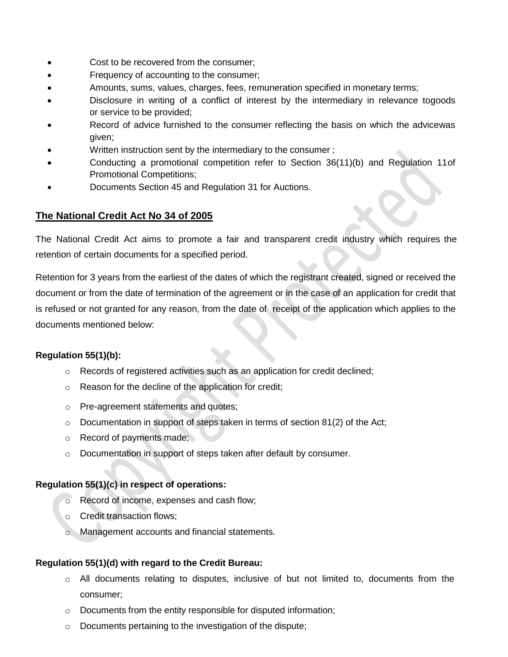- Cost to be recovered from the consumer;
- Frequency of accounting to the consumer;
- Amounts, sums, values, charges, fees, remuneration specified in monetary terms;
- Disclosure in writing of a conflict of interest by the intermediary in relevance togoods or service to be provided;
- Record of advice furnished to the consumer reflecting the basis on which the advicewas given;
- Written instruction sent by the intermediary to the consumer ;
- Conducting a promotional competition refer to Section 36(11)(b) and Regulation 11of Promotional Competitions;
- Documents Section 45 and Regulation 31 for Auctions.

## **The National Credit Act No 34 of 2005**

The National Credit Act aims to promote a fair and transparent credit industry which requires the retention of certain documents for a specified period.

Retention for 3 years from the earliest of the dates of which the registrant created, signed or received the document or from the date of termination of the agreement or in the case of an application for credit that is refused or not granted for any reason, from the date of receipt of the application which applies to the documents mentioned below:

#### **Regulation 55(1)(b):**

- o Records of registered activities such as an application for credit declined;
- o Reason for the decline of the application for credit;
- o Pre-agreement statements and quotes;
- $\circ$  Documentation in support of steps taken in terms of section 81(2) of the Act;
- o Record of payments made;
- o Documentation in support of steps taken after default by consumer.

#### **Regulation 55(1)(c) in respect of operations:**

- o Record of income, expenses and cash flow;
- o Credit transaction flows;
- o Management accounts and financial statements.

#### **Regulation 55(1)(d) with regard to the Credit Bureau:**

- o All documents relating to disputes, inclusive of but not limited to, documents from the consumer;
- o Documents from the entity responsible for disputed information;
- o Documents pertaining to the investigation of the dispute;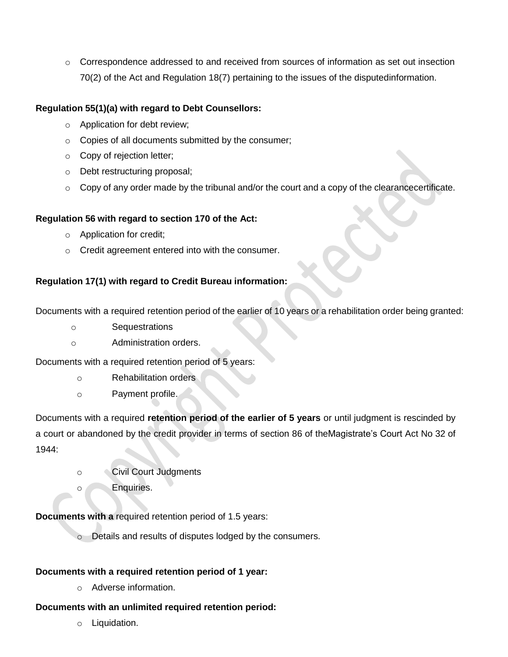$\circ$  Correspondence addressed to and received from sources of information as set out insection 70(2) of the Act and Regulation 18(7) pertaining to the issues of the disputedinformation.

## **Regulation 55(1)(a) with regard to Debt Counsellors:**

- o Application for debt review;
- o Copies of all documents submitted by the consumer;
- o Copy of rejection letter;
- o Debt restructuring proposal;
- o Copy of any order made by the tribunal and/or the court and a copy of the clearancecertificate.

#### **Regulation 56 with regard to section 170 of the Act:**

- o Application for credit;
- o Credit agreement entered into with the consumer.

#### **Regulation 17(1) with regard to Credit Bureau information:**

Documents with a required retention period of the earlier of 10 years or a rehabilitation order being granted:

- o Sequestrations
- o Administration orders.

Documents with a required retention period of 5 years:

- o Rehabilitation orders
- o Payment profile.

Documents with a required **retention period of the earlier of 5 years** or until judgment is rescinded by a court or abandoned by the credit provider in terms of section 86 of theMagistrate's Court Act No 32 of 1944:

- o Civil Court Judgments
- o Enquiries.

**Documents with a** required retention period of 1.5 years:

o Details and results of disputes lodged by the consumers.

## **Documents with a required retention period of 1 year:**

o Adverse information.

#### **Documents with an unlimited required retention period:**

o Liquidation.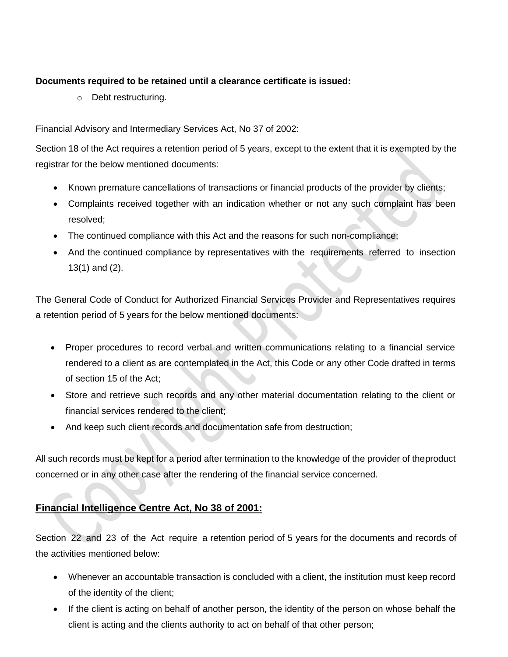## **Documents required to be retained until a clearance certificate is issued:**

o Debt restructuring.

Financial Advisory and Intermediary Services Act, No 37 of 2002:

Section 18 of the Act requires a retention period of 5 years, except to the extent that it is exempted by the registrar for the below mentioned documents:

- Known premature cancellations of transactions or financial products of the provider by clients;
- Complaints received together with an indication whether or not any such complaint has been resolved;
- The continued compliance with this Act and the reasons for such non-compliance;
- And the continued compliance by representatives with the requirements referred to insection 13(1) and (2).

The General Code of Conduct for Authorized Financial Services Provider and Representatives requires a retention period of 5 years for the below mentioned documents:

- Proper procedures to record verbal and written communications relating to a financial service rendered to a client as are contemplated in the Act, this Code or any other Code drafted in terms of section 15 of the Act;
- Store and retrieve such records and any other material documentation relating to the client or financial services rendered to the client;
- And keep such client records and documentation safe from destruction;

All such records must be kept for a period after termination to the knowledge of the provider of theproduct concerned or in any other case after the rendering of the financial service concerned.

## **Financial Intelligence Centre Act, No 38 of 2001:**

Section 22 and 23 of the Act require a retention period of 5 years for the documents and records of the activities mentioned below:

- Whenever an accountable transaction is concluded with a client, the institution must keep record of the identity of the client;
- If the client is acting on behalf of another person, the identity of the person on whose behalf the client is acting and the clients authority to act on behalf of that other person;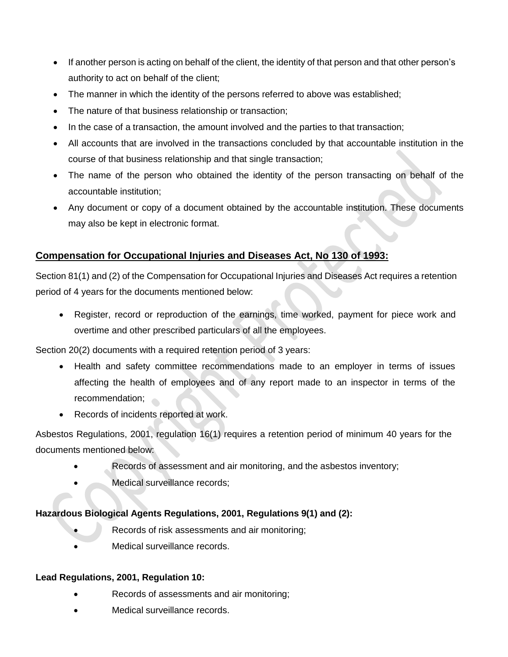- If another person is acting on behalf of the client, the identity of that person and that other person's authority to act on behalf of the client;
- The manner in which the identity of the persons referred to above was established;
- The nature of that business relationship or transaction;
- In the case of a transaction, the amount involved and the parties to that transaction;
- All accounts that are involved in the transactions concluded by that accountable institution in the course of that business relationship and that single transaction;
- The name of the person who obtained the identity of the person transacting on behalf of the accountable institution;
- Any document or copy of a document obtained by the accountable institution. These documents may also be kept in electronic format.

## **Compensation for Occupational Injuries and Diseases Act, No 130 of 1993:**

Section 81(1) and (2) of the Compensation for Occupational Injuries and Diseases Act requires a retention period of 4 years for the documents mentioned below:

 Register, record or reproduction of the earnings, time worked, payment for piece work and overtime and other prescribed particulars of all the employees.

Section 20(2) documents with a required retention period of 3 years:

- Health and safety committee recommendations made to an employer in terms of issues affecting the health of employees and of any report made to an inspector in terms of the recommendation;
- Records of incidents reported at work.

Asbestos Regulations, 2001, regulation 16(1) requires a retention period of minimum 40 years for the documents mentioned below:

- Records of assessment and air monitoring, and the asbestos inventory;
- Medical surveillance records;

## **Hazardous Biological Agents Regulations, 2001, Regulations 9(1) and (2):**

- **Records of risk assessments and air monitoring;**
- Medical surveillance records.

## **Lead Regulations, 2001, Regulation 10:**

- Records of assessments and air monitoring;
- Medical surveillance records.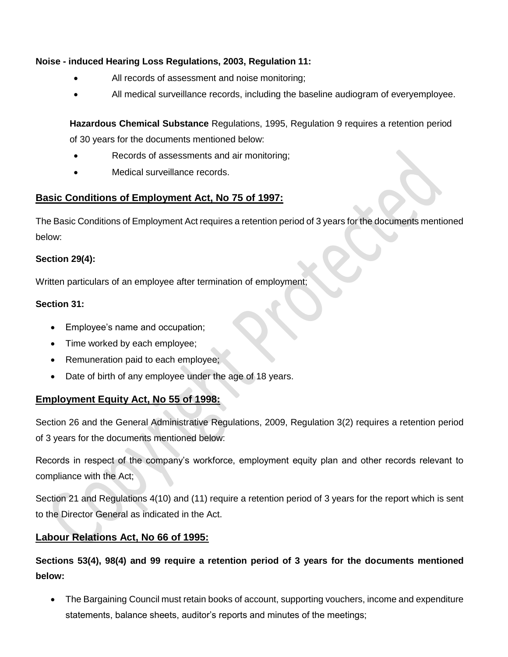## **Noise - induced Hearing Loss Regulations, 2003, Regulation 11:**

- All records of assessment and noise monitoring;
- All medical surveillance records, including the baseline audiogram of everyemployee.

**Hazardous Chemical Substance** Regulations, 1995, Regulation 9 requires a retention period

of 30 years for the documents mentioned below:

- Records of assessments and air monitoring;
- Medical surveillance records.

## **Basic Conditions of Employment Act, No 75 of 1997:**

The Basic Conditions of Employment Act requires a retention period of 3 years for the documents mentioned below:

## **Section 29(4):**

Written particulars of an employee after termination of employment;

## **Section 31:**

- Employee's name and occupation;
- Time worked by each employee;
- Remuneration paid to each employee;
- Date of birth of any employee under the age of 18 years.

## **Employment Equity Act, No 55 of 1998:**

Section 26 and the General Administrative Regulations, 2009, Regulation 3(2) requires a retention period of 3 years for the documents mentioned below:

Records in respect of the company's workforce, employment equity plan and other records relevant to compliance with the Act;

Section 21 and Regulations 4(10) and (11) require a retention period of 3 years for the report which is sent to the Director General as indicated in the Act.

## **Labour Relations Act, No 66 of 1995:**

**Sections 53(4), 98(4) and 99 require a retention period of 3 years for the documents mentioned below:**

 The Bargaining Council must retain books of account, supporting vouchers, income and expenditure statements, balance sheets, auditor's reports and minutes of the meetings;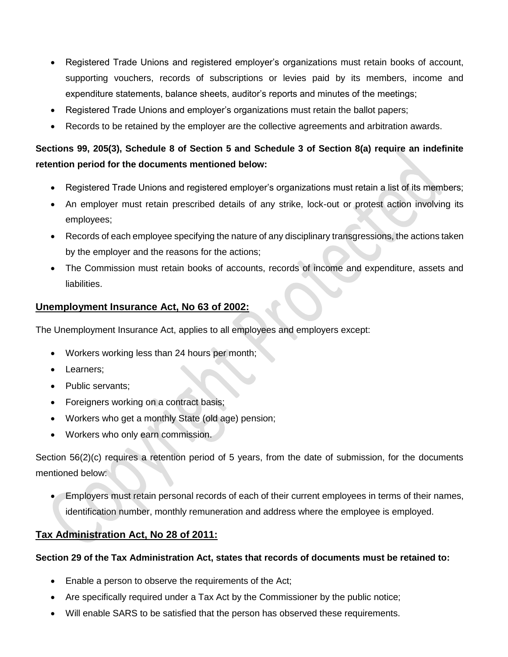- Registered Trade Unions and registered employer's organizations must retain books of account, supporting vouchers, records of subscriptions or levies paid by its members, income and expenditure statements, balance sheets, auditor's reports and minutes of the meetings;
- Registered Trade Unions and employer's organizations must retain the ballot papers;
- Records to be retained by the employer are the collective agreements and arbitration awards.

# **Sections 99, 205(3), Schedule 8 of Section 5 and Schedule 3 of Section 8(a) require an indefinite retention period for the documents mentioned below:**

- Registered Trade Unions and registered employer's organizations must retain a list of its members;
- An employer must retain prescribed details of any strike, lock-out or protest action involving its employees;
- Records of each employee specifying the nature of any disciplinary transgressions, the actions taken by the employer and the reasons for the actions;
- The Commission must retain books of accounts, records of income and expenditure, assets and liabilities.

## **Unemployment Insurance Act, No 63 of 2002:**

The Unemployment Insurance Act, applies to all employees and employers except:

- Workers working less than 24 hours per month;
- Learners;
- Public servants:
- Foreigners working on a contract basis;
- Workers who get a monthly State (old age) pension;
- Workers who only earn commission.

Section 56(2)(c) requires a retention period of 5 years, from the date of submission, for the documents mentioned below:

 Employers must retain personal records of each of their current employees in terms of their names, identification number, monthly remuneration and address where the employee is employed.

## **Tax Administration Act, No 28 of 2011:**

## **Section 29 of the Tax Administration Act, states that records of documents must be retained to:**

- Enable a person to observe the requirements of the Act;
- Are specifically required under a Tax Act by the Commissioner by the public notice;
- Will enable SARS to be satisfied that the person has observed these requirements.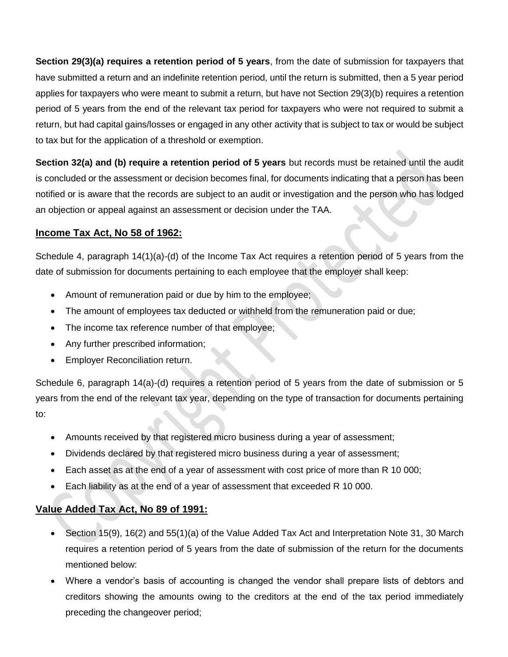**Section 29(3)(a) requires a retention period of 5 years**, from the date of submission for taxpayers that have submitted a return and an indefinite retention period, until the return is submitted, then a 5 year period applies for taxpayers who were meant to submit a return, but have not Section 29(3)(b) requires a retention period of 5 years from the end of the relevant tax period for taxpayers who were not required to submit a return, but had capital gains/losses or engaged in any other activity that is subject to tax or would be subject to tax but for the application of a threshold or exemption.

**Section 32(a) and (b) require a retention period of 5 years** but records must be retained until the audit is concluded or the assessment or decision becomes final, for documents indicating that a person has been notified or is aware that the records are subject to an audit or investigation and the person who has lodged an objection or appeal against an assessment or decision under the TAA.

## **Income Tax Act, No 58 of 1962:**

Schedule 4, paragraph 14(1)(a)-(d) of the Income Tax Act requires a retention period of 5 years from the date of submission for documents pertaining to each employee that the employer shall keep:

- Amount of remuneration paid or due by him to the employee;
- The amount of employees tax deducted or withheld from the remuneration paid or due;
- The income tax reference number of that employee;
- Any further prescribed information;
- **•** Employer Reconciliation return.

Schedule 6, paragraph 14(a)-(d) requires a retention period of 5 years from the date of submission or 5 years from the end of the relevant tax year, depending on the type of transaction for documents pertaining to:

- Amounts received by that registered micro business during a year of assessment;
- Dividends declared by that registered micro business during a year of assessment;
- Each asset as at the end of a year of assessment with cost price of more than R 10 000;
- Each liability as at the end of a year of assessment that exceeded R 10 000.

## **Value Added Tax Act, No 89 of 1991:**

- Section 15(9), 16(2) and 55(1)(a) of the Value Added Tax Act and Interpretation Note 31, 30 March requires a retention period of 5 years from the date of submission of the return for the documents mentioned below:
- Where a vendor's basis of accounting is changed the vendor shall prepare lists of debtors and creditors showing the amounts owing to the creditors at the end of the tax period immediately preceding the changeover period;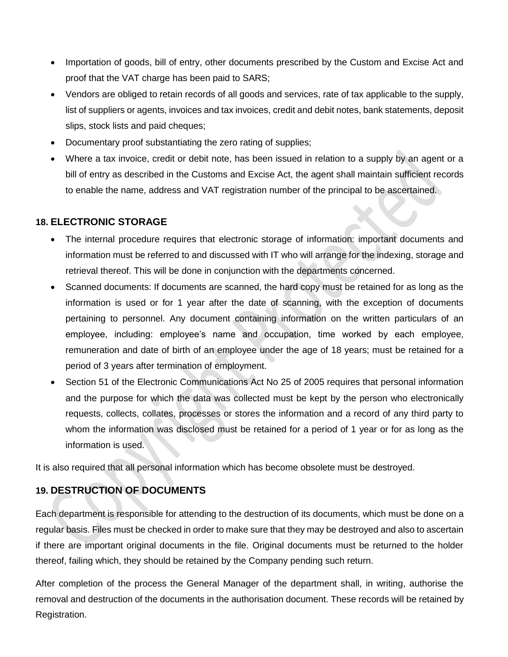- Importation of goods, bill of entry, other documents prescribed by the Custom and Excise Act and proof that the VAT charge has been paid to SARS;
- Vendors are obliged to retain records of all goods and services, rate of tax applicable to the supply, list of suppliers or agents, invoices and tax invoices, credit and debit notes, bank statements, deposit slips, stock lists and paid cheques;
- Documentary proof substantiating the zero rating of supplies;
- Where a tax invoice, credit or debit note, has been issued in relation to a supply by an agent or a bill of entry as described in the Customs and Excise Act, the agent shall maintain sufficient records to enable the name, address and VAT registration number of the principal to be ascertained.

## **18. ELECTRONIC STORAGE**

- The internal procedure requires that electronic storage of information: important documents and information must be referred to and discussed with IT who will arrange for the indexing, storage and retrieval thereof. This will be done in conjunction with the departments concerned.
- Scanned documents: If documents are scanned, the hard copy must be retained for as long as the information is used or for 1 year after the date of scanning, with the exception of documents pertaining to personnel. Any document containing information on the written particulars of an employee, including: employee's name and occupation, time worked by each employee, remuneration and date of birth of an employee under the age of 18 years; must be retained for a period of 3 years after termination of employment.
- Section 51 of the Electronic Communications Act No 25 of 2005 requires that personal information and the purpose for which the data was collected must be kept by the person who electronically requests, collects, collates, processes or stores the information and a record of any third party to whom the information was disclosed must be retained for a period of 1 year or for as long as the information is used.

It is also required that all personal information which has become obsolete must be destroyed.

## **19. DESTRUCTION OF DOCUMENTS**

Each department is responsible for attending to the destruction of its documents, which must be done on a regular basis. Files must be checked in order to make sure that they may be destroyed and also to ascertain if there are important original documents in the file. Original documents must be returned to the holder thereof, failing which, they should be retained by the Company pending such return.

After completion of the process the General Manager of the department shall, in writing, authorise the removal and destruction of the documents in the authorisation document. These records will be retained by Registration.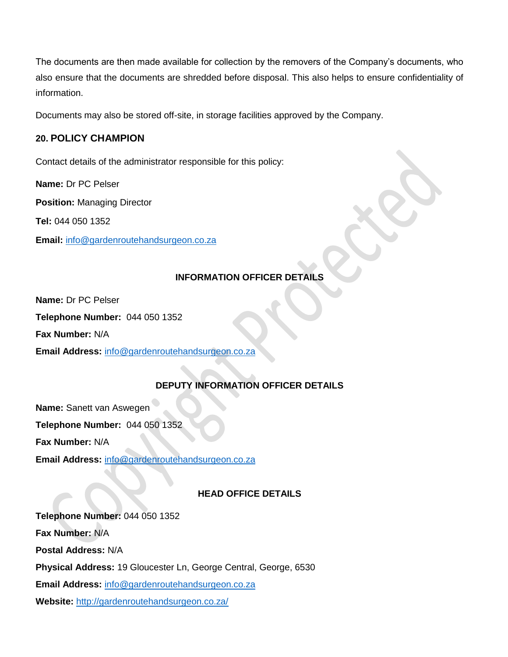The documents are then made available for collection by the removers of the Company's documents, who also ensure that the documents are shredded before disposal. This also helps to ensure confidentiality of information.

Documents may also be stored off-site, in storage facilities approved by the Company.

## **20. POLICY CHAMPION**

Contact details of the administrator responsible for this policy:

**Name:** Dr PC Pelser

**Position:** Managing Director

**Tel:** 044 050 1352

**Email:** [info@gardenroutehandsurgeon.co.za](mailto:info@gardenroutehandsurgeon.co.za)

## **INFORMATION OFFICER DETAILS**

**Name:** Dr PC Pelser

**Telephone Number:** 044 050 1352

**Fax Number:** N/A

**Email Address:** [info@gardenroutehandsurgeon.co.za](mailto:info@gardenroutehandsurgeon.co.za)

## **DEPUTY INFORMATION OFFICER DETAILS**

**Name:** Sanett van Aswegen **Telephone Number:** 044 050 1352 **Fax Number:** N/A

**Email Address:** [info@gardenroutehandsurgeon.co.za](mailto:info@gardenroutehandsurgeon.co.za)

#### **HEAD OFFICE DETAILS**

**Telephone Number:** 044 050 1352 **Fax Number:** N/A **Postal Address:** N/A **Physical Address:** 19 Gloucester Ln, George Central, George, 6530 **Email Address:** [info@gardenroutehandsurgeon.co.za](mailto:info@gardenroutehandsurgeon.co.za) **Website:** <http://gardenroutehandsurgeon.co.za/>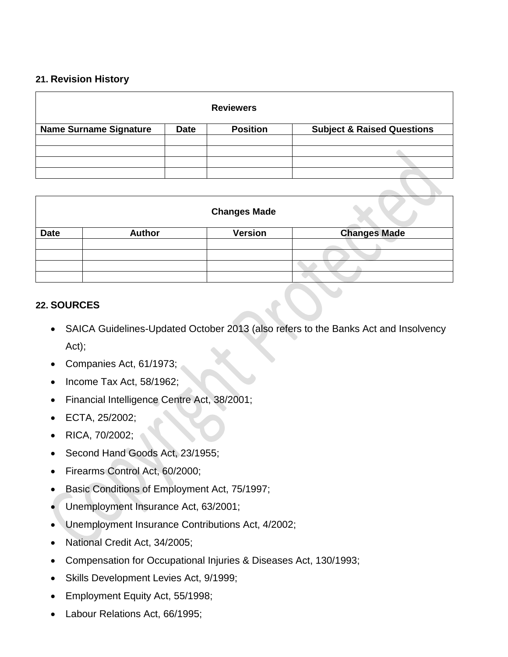## **21. Revision History**

| <b>Reviewers</b>              |             |                 |                                       |  |
|-------------------------------|-------------|-----------------|---------------------------------------|--|
| <b>Name Surname Signature</b> | <b>Date</b> | <b>Position</b> | <b>Subject &amp; Raised Questions</b> |  |
|                               |             |                 |                                       |  |
|                               |             |                 |                                       |  |
|                               |             |                 |                                       |  |
|                               |             |                 |                                       |  |

|             |               | <b>Changes Made</b> |                     |
|-------------|---------------|---------------------|---------------------|
| <b>Date</b> | <b>Author</b> | <b>Version</b>      | <b>Changes Made</b> |
|             |               |                     |                     |
|             |               |                     |                     |
|             |               |                     |                     |
|             |               |                     |                     |

## **22. SOURCES**

- SAICA Guidelines-Updated October 2013 (also refers to the Banks Act and Insolvency Act);
- Companies Act, 61/1973;
- $\bullet$  Income Tax Act, 58/1962;
- Financial Intelligence Centre Act, 38/2001;
- ECTA, 25/2002;
- RICA, 70/2002;
- Second Hand Goods Act, 23/1955;
- Firearms Control Act, 60/2000;
- Basic Conditions of Employment Act, 75/1997;
- Unemployment Insurance Act, 63/2001;
- Unemployment Insurance Contributions Act, 4/2002;
- National Credit Act, 34/2005;
- Compensation for Occupational Injuries & Diseases Act, 130/1993;
- Skills Development Levies Act, 9/1999;
- Employment Equity Act, 55/1998;
- Labour Relations Act, 66/1995;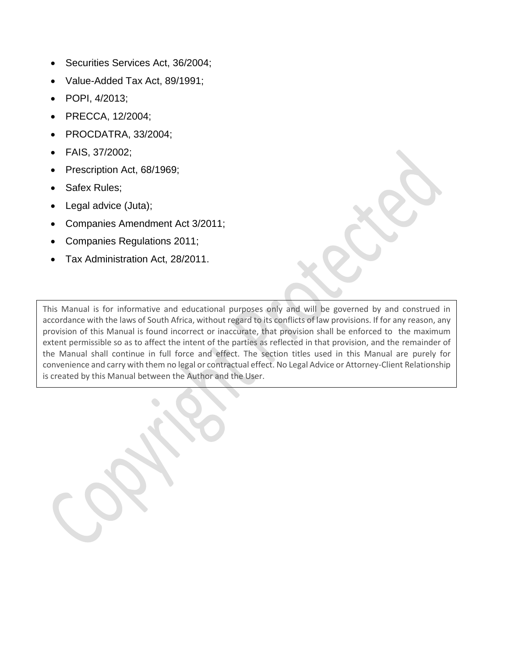- Securities Services Act, 36/2004;
- Value-Added Tax Act, 89/1991;
- POPI, 4/2013;
- PRECCA, 12/2004;
- PROCDATRA, 33/2004;
- FAIS, 37/2002;
- Prescription Act, 68/1969;
- Safex Rules:
- Legal advice (Juta);
- Companies Amendment Act 3/2011;
- Companies Regulations 2011;
- Tax Administration Act, 28/2011.

This Manual is for informative and educational purposes only and will be governed by and construed in accordance with the laws of South Africa, without regard to its conflicts of law provisions. If for any reason, any provision of this Manual is found incorrect or inaccurate, that provision shall be enforced to the maximum extent permissible so as to affect the intent of the parties as reflected in that provision, and the remainder of the Manual shall continue in full force and effect. The section titles used in this Manual are purely for convenience and carry with them no legal or contractual effect. No Legal Advice or Attorney-Client Relationship is created by this Manual between the Author and the User.